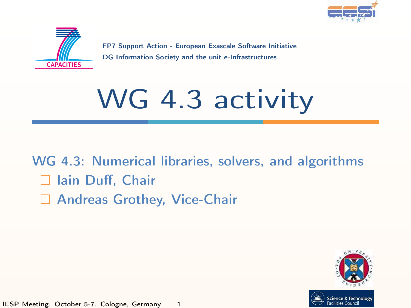



FP7 Support Action - European Exascale Software Initiative DG Information Society and the unit e-Infrastructures

# WG 4.3 activity

WG 4.3: Numerical libraries, solvers, and algorithms □ Iain Duff, Chair □ Andreas Grothey, Vice-Chair



IESP Meeting. October 5-7. Cologne, Germany 1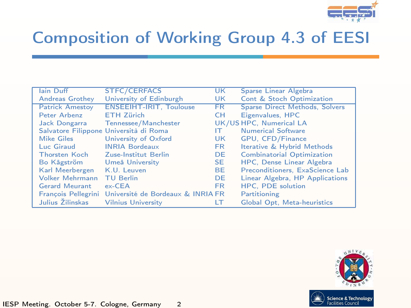

# Composition of Working Group 4.3 of EESI

| lain Duff              | <b>STFC/CERFACS</b>                                   | UK        | Sparse Linear Algebra                 |
|------------------------|-------------------------------------------------------|-----------|---------------------------------------|
| <b>Andreas Grothey</b> | University of Edinburgh                               | UK        | Cont & Stoch Optimization             |
| <b>Patrick Amestoy</b> | <b>ENSEEIHT-IRIT. Toulouse</b>                        | <b>FR</b> | <b>Sparse Direct Methods, Solvers</b> |
| Peter Arbenz           | <b>ETH Zürich</b>                                     | CН        | Eigenvalues, HPC                      |
| Jack Dongarra          | Tennessee/Manchester                                  |           | UK/US HPC, Numerical LA               |
|                        | Salvatore Filippone Università di Roma                | IΤ        | <b>Numerical Software</b>             |
| <b>Mike Giles</b>      | University of Oxford                                  | UK        | GPU, CFD/Finance                      |
| Luc Giraud             | <b>INRIA Bordeaux</b>                                 | FR.       | Iterative & Hybrid Methods            |
| <b>Thorsten Koch</b>   | Zuse-Institut Berlin                                  | DE.       | <b>Combinatorial Optimization</b>     |
| Bo Kågström            | Umeå University                                       | SE.       | HPC, Dense Linear Algebra             |
| Karl Meerbergen        | K.U. Leuven                                           | BE.       | Preconditioners. ExaScience Lab       |
| Volker Mehrmann        | <b>TU Berlin</b>                                      | <b>DE</b> | Linear Algebra, HP Applications       |
| <b>Gerard Meurant</b>  | $ex$ -CEA                                             | <b>FR</b> | <b>HPC. PDE solution</b>              |
|                        | François Pellegrini Université de Bordeaux & INRIA FR |           | Partitioning                          |
| Julius Žilinskas       | <b>Vilnius University</b>                             | LT        | Global Opt. Meta-heuristics           |

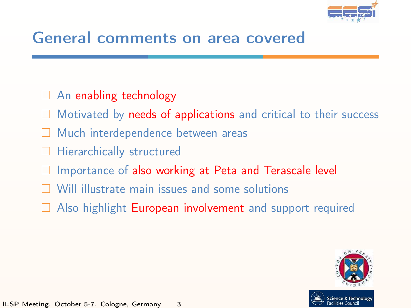

### General comments on area covered

- $\Box$  An enabling technology
- Motivated by needs of applications and critical to their success
- □ Much interdependence between areas
- Hierarchically structured
- Importance of also working at Peta and Terascale level
- $\Box$  Will illustrate main issues and some solutions
- $\Box$  Also highlight **European involvement** and support required

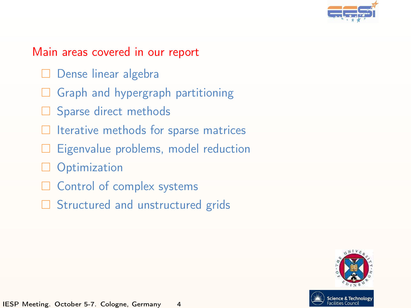

#### Main areas covered in our report

- $\Box$  Dense linear algebra
- $\Box$  Graph and hypergraph partitioning
- $\Box$  Sparse direct methods
- $\Box$  Iterative methods for sparse matrices
- Eigenvalue problems, model reduction
- **Optimization**
- $\Box$  Control of complex systems
- $\Box$  Structured and unstructured grids

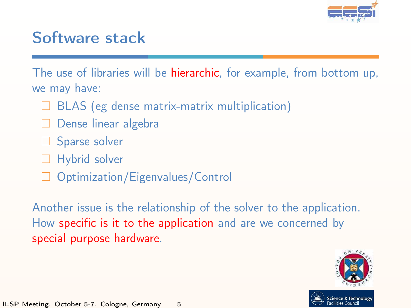

### Software stack

The use of libraries will be **hierarchic**, for example, from bottom up, we may have:

- $\Box$  BLAS (eg dense matrix-matrix multiplication)
- $\Box$  Dense linear algebra
- $\Box$  Sparse solver
- Hybrid solver
- $\Box$  Optimization/Eigenvalues/Control

Another issue is the relationship of the solver to the application. How specific is it to the application and are we concerned by special purpose hardware.

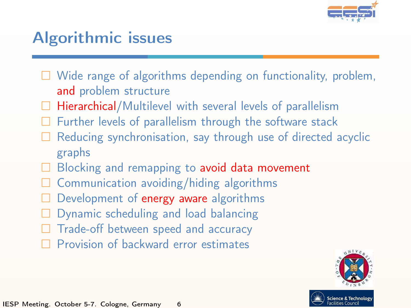

# Algorithmic issues

- $\Box$  Wide range of algorithms depending on functionality, problem, and problem structure
- $\Box$  Hierarchical/Multilevel with several levels of parallelism
- Further levels of parallelism through the software stack
- Reducing synchronisation, say through use of directed acyclic graphs
- Blocking and remapping to avoid data movement
- Communication avoiding/hiding algorithms
- Development of energy aware algorithms
- Dynamic scheduling and load balancing
- Trade-off between speed and accuracy
- $\Box$  Provision of backward error estimates

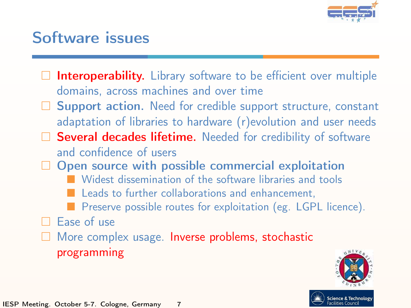

# Software issues

- $\Box$  Interoperability. Library software to be efficient over multiple domains, across machines and over time
- $\Box$  Support action. Need for credible support structure, constant adaptation of libraries to hardware (r)evolution and user needs
- $\Box$  Several decades lifetime. Needed for credibility of software and confidence of users
- $\Box$  Open source with possible commercial exploitation
	- **Nidest dissemination of the software libraries and tools**
	- Leads to further collaborations and enhancement,
	- Preserve possible routes for exploitation (eg. LGPL licence).
- $\Box$  Ease of use
- $\Box$  More complex usage. Inverse problems, stochastic programming

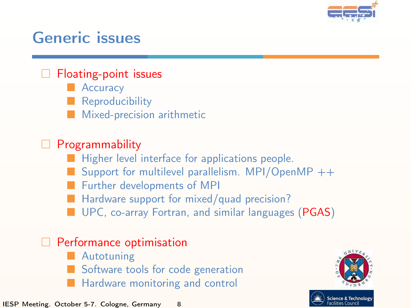

### Generic issues

#### $\Box$  Floating-point issues

- **Accuracy**
- **Reproducibility**
- Mixed-precision arithmetic

#### $\Box$  Programmability

- Higher level interface for applications people.
- Support for multilevel parallelism. MPI/OpenMP  $++$
- **Further developments of MPI**
- **Hardware support for mixed/quad precision?**
- **UPC, co-array Fortran, and similar languages (PGAS)**

#### $\Box$  Performance optimisation

- Autotuning
- Software tools for code generation
- Hardware monitoring and control

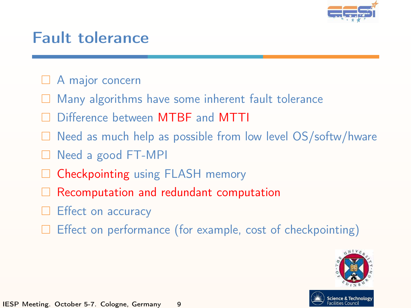

### Fault tolerance

- □ A major concern
- Many algorithms have some inherent fault tolerance
- Difference between MTBF and MTTI
- $\Box$  Need as much help as possible from low level OS/softw/hware
- Need a good FT-MPI
- Checkpointing using FLASH memory
- Recomputation and redundant computation
- Effect on accuracy
- Effect on performance (for example, cost of checkpointing)

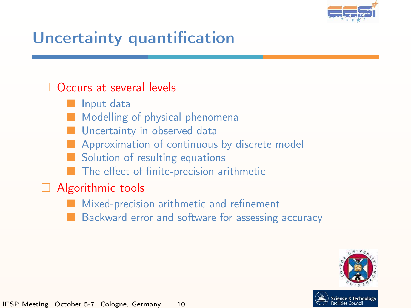

# Uncertainty quantification

#### Occurs at several levels

- Input data
- Modelling of physical phenomena
- **Uncertainty in observed data**
- Approximation of continuous by discrete model
- Solution of resulting equations
- $\blacksquare$  The effect of finite-precision arithmetic

#### $\Box$  Algorithmic tools

- Mixed-precision arithmetic and refinement
- Backward error and software for assessing accuracy

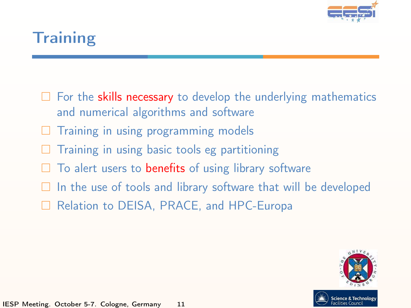

# **Training**

- $\Box$  For the skills necessary to develop the underlying mathematics and numerical algorithms and software
- Training in using programming models
- Training in using basic tools eg partitioning
- $\Box$  To alert users to benefits of using library software
- $\Box$  In the use of tools and library software that will be developed
- □ Relation to DEISA, PRACE, and HPC-Europa

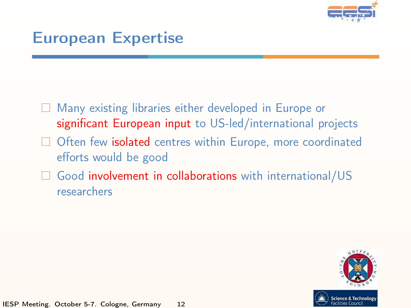

### European Expertise

- $\Box$  Many existing libraries either developed in Europe or significant European input to US-led/international projects
- Often few isolated centres within Europe, more coordinated efforts would be good
- Good involvement in collaborations with international/US researchers

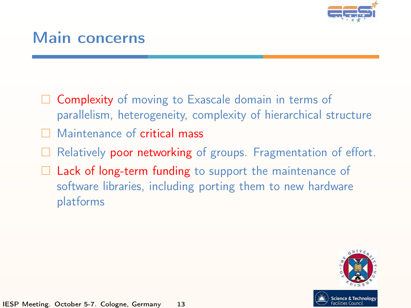

### Main concerns

- $\Box$  Complexity of moving to Exascale domain in terms of parallelism, heterogeneity, complexity of hierarchical structure
- Maintenance of critical mass
- Relatively poor networking of groups. Fragmentation of effort.
- $\Box$  Lack of long-term funding to support the maintenance of software libraries, including porting them to new hardware platforms

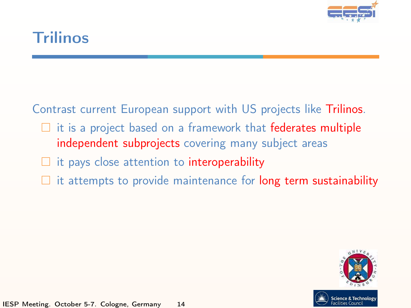

### Trilinos

Contrast current European support with US projects like Trilinos.

- $\Box$  it is a project based on a framework that federates multiple independent subprojects covering many subject areas
- $\Box$  it pays close attention to interoperability
- $\Box$  it attempts to provide maintenance for long term sustainability

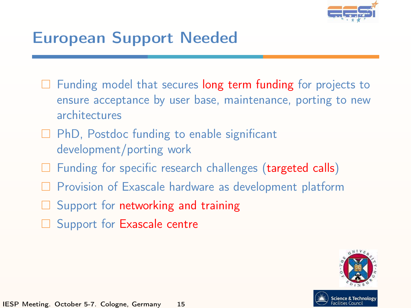

# European Support Needed

- $\Box$  Funding model that secures long term funding for projects to ensure acceptance by user base, maintenance, porting to new architectures
- $\Box$  PhD, Postdoc funding to enable significant development/porting work
- $\Box$  Funding for specific research challenges (targeted calls)
- $\Box$  Provision of Exascale hardware as development platform
- $\Box$  Support for networking and training
- Support for Exascale centre

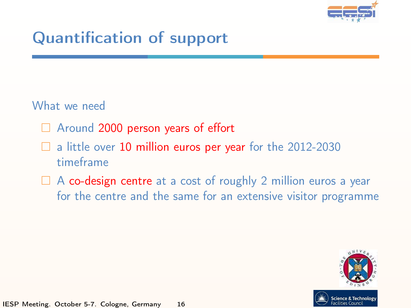

# Quantification of support

#### What we need

- $\Box$  Around 2000 person years of effort
- $\Box$  a little over 10 million euros per year for the 2012-2030 timeframe
- $\Box$  A co-design centre at a cost of roughly 2 million euros a year for the centre and the same for an extensive visitor programme

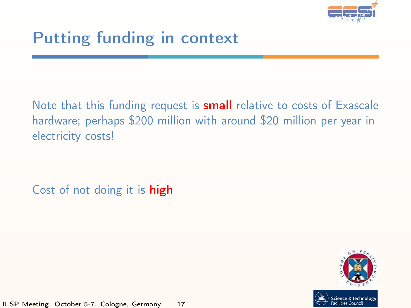

# Putting funding in context

Note that this funding request is **small** relative to costs of Exascale hardware; perhaps \$200 million with around \$20 million per year in electricity costs!

Cost of not doing it is **high**